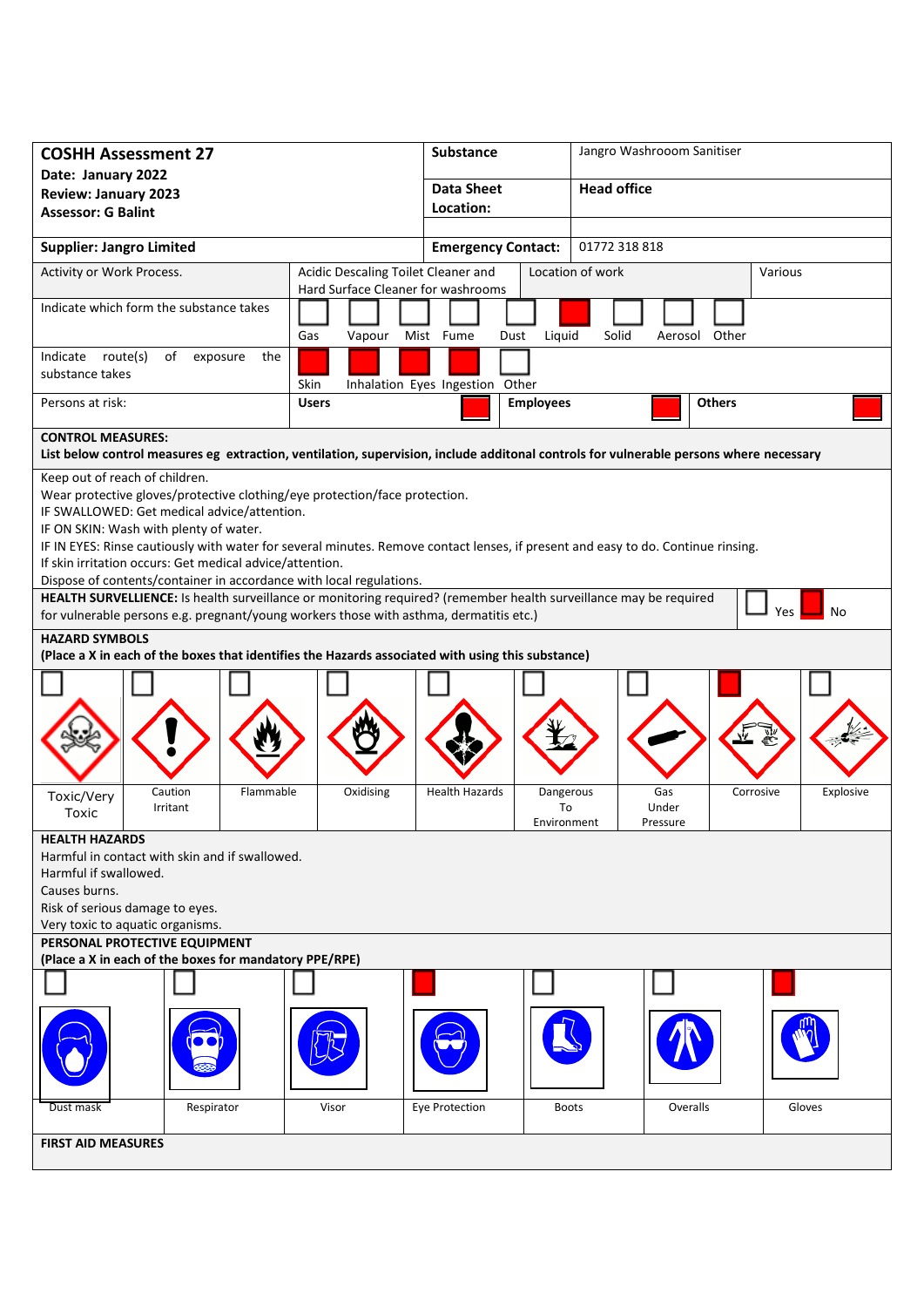| <b>COSHH Assessment 27</b>                                                                                                                                                                                                                                                                                                                                                                                                                                                                                                                                                                                                                                                                                                                                                                                                             |                                                                           | <b>Substance</b>                                        | Jangro Washrooom Sanitiser |                        |  |  |
|----------------------------------------------------------------------------------------------------------------------------------------------------------------------------------------------------------------------------------------------------------------------------------------------------------------------------------------------------------------------------------------------------------------------------------------------------------------------------------------------------------------------------------------------------------------------------------------------------------------------------------------------------------------------------------------------------------------------------------------------------------------------------------------------------------------------------------------|---------------------------------------------------------------------------|---------------------------------------------------------|----------------------------|------------------------|--|--|
| Date: January 2022<br><b>Review: January 2023</b><br><b>Assessor: G Balint</b>                                                                                                                                                                                                                                                                                                                                                                                                                                                                                                                                                                                                                                                                                                                                                         |                                                                           | <b>Data Sheet</b><br>Location:                          | <b>Head office</b>         |                        |  |  |
| <b>Supplier: Jangro Limited</b>                                                                                                                                                                                                                                                                                                                                                                                                                                                                                                                                                                                                                                                                                                                                                                                                        |                                                                           | <b>Emergency Contact:</b>                               | 01772 318 818              |                        |  |  |
| Activity or Work Process.                                                                                                                                                                                                                                                                                                                                                                                                                                                                                                                                                                                                                                                                                                                                                                                                              | Acidic Descaling Toilet Cleaner and<br>Hard Surface Cleaner for washrooms |                                                         | Location of work           | Various                |  |  |
| Indicate which form the substance takes                                                                                                                                                                                                                                                                                                                                                                                                                                                                                                                                                                                                                                                                                                                                                                                                | Gas<br>Vapour                                                             | Mist Fume<br>Liquid<br>Dust                             | Solid<br>Other<br>Aerosol  |                        |  |  |
| Indicate route(s)<br>of<br>exposure<br>the<br>substance takes                                                                                                                                                                                                                                                                                                                                                                                                                                                                                                                                                                                                                                                                                                                                                                          | Skin                                                                      | Inhalation Eyes Ingestion Other                         |                            |                        |  |  |
| Persons at risk:                                                                                                                                                                                                                                                                                                                                                                                                                                                                                                                                                                                                                                                                                                                                                                                                                       | <b>Users</b>                                                              | <b>Employees</b>                                        | <b>Others</b>              |                        |  |  |
| <b>CONTROL MEASURES:</b><br>List below control measures eg extraction, ventilation, supervision, include additonal controls for vulnerable persons where necessary                                                                                                                                                                                                                                                                                                                                                                                                                                                                                                                                                                                                                                                                     |                                                                           |                                                         |                            |                        |  |  |
| Keep out of reach of children.<br>Wear protective gloves/protective clothing/eye protection/face protection.<br>IF SWALLOWED: Get medical advice/attention.<br>IF ON SKIN: Wash with plenty of water.<br>IF IN EYES: Rinse cautiously with water for several minutes. Remove contact lenses, if present and easy to do. Continue rinsing.<br>If skin irritation occurs: Get medical advice/attention.<br>Dispose of contents/container in accordance with local regulations.<br>HEALTH SURVELLIENCE: Is health surveillance or monitoring required? (remember health surveillance may be required<br>Yes<br>No<br>for vulnerable persons e.g. pregnant/young workers those with asthma, dermatitis etc.)<br><b>HAZARD SYMBOLS</b><br>(Place a X in each of the boxes that identifies the Hazards associated with using this substance) |                                                                           |                                                         |                            |                        |  |  |
| Flammable<br>Caution<br>Toxic/Very<br>Irritant<br>Toxic                                                                                                                                                                                                                                                                                                                                                                                                                                                                                                                                                                                                                                                                                                                                                                                | Oxidising                                                                 | <b>Health Hazards</b><br>Dangerous<br>To<br>Environment | Gas<br>Under<br>Pressure   | Explosive<br>Corrosive |  |  |
| <b>HEALTH HAZARDS</b><br>Harmful in contact with skin and if swallowed.<br>Harmful if swallowed.<br>Causes burns.<br>Risk of serious damage to eyes.<br>Very toxic to aquatic organisms.<br>PERSONAL PROTECTIVE EQUIPMENT<br>(Place a X in each of the boxes for mandatory PPE/RPE)                                                                                                                                                                                                                                                                                                                                                                                                                                                                                                                                                    |                                                                           |                                                         |                            |                        |  |  |
| Respirator<br>Dust mask<br><b>FIRST AID MEASURES</b>                                                                                                                                                                                                                                                                                                                                                                                                                                                                                                                                                                                                                                                                                                                                                                                   | Visor                                                                     | Eye Protection                                          | Overalls<br><b>Boots</b>   | Gloves                 |  |  |
|                                                                                                                                                                                                                                                                                                                                                                                                                                                                                                                                                                                                                                                                                                                                                                                                                                        |                                                                           |                                                         |                            |                        |  |  |